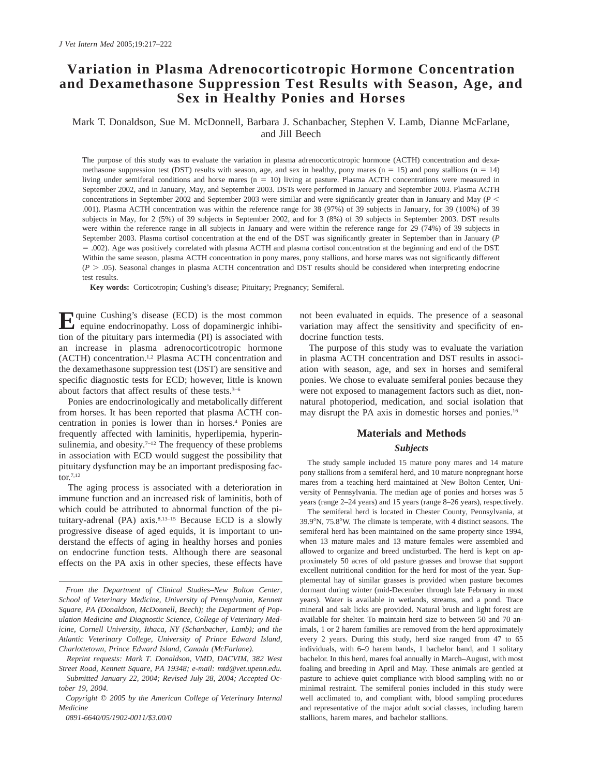# **Variation in Plasma Adrenocorticotropic Hormone Concentration and Dexamethasone Suppression Test Results with Season, Age, and Sex in Healthy Ponies and Horses**

# Mark T. Donaldson, Sue M. McDonnell, Barbara J. Schanbacher, Stephen V. Lamb, Dianne McFarlane, and Jill Beech

The purpose of this study was to evaluate the variation in plasma adrenocorticotropic hormone (ACTH) concentration and dexamethasone suppression test (DST) results with season, age, and sex in healthy, pony mares ( $n = 15$ ) and pony stallions ( $n = 14$ ) living under semiferal conditions and horse mares  $(n = 10)$  living at pasture. Plasma ACTH concentrations were measured in September 2002, and in January, May, and September 2003. DSTs were performed in January and September 2003. Plasma ACTH concentrations in September 2002 and September 2003 were similar and were significantly greater than in January and May (*P* < .001). Plasma ACTH concentration was within the reference range for 38 (97%) of 39 subjects in January, for 39 (100%) of 39 subjects in May, for 2 (5%) of 39 subjects in September 2002, and for 3 (8%) of 39 subjects in September 2003. DST results were within the reference range in all subjects in January and were within the reference range for 29 (74%) of 39 subjects in September 2003. Plasma cortisol concentration at the end of the DST was significantly greater in September than in January (*P* 5 .002). Age was positively correlated with plasma ACTH and plasma cortisol concentration at the beginning and end of the DST. Within the same season, plasma ACTH concentration in pony mares, pony stallions, and horse mares was not significantly different (*P* . .05). Seasonal changes in plasma ACTH concentration and DST results should be considered when interpreting endocrine test results.

**Key words:** Corticotropin; Cushing's disease; Pituitary; Pregnancy; Semiferal.

 $\mathbf{E}$ quine Cushing's disease (ECD) is the most common equine endocrinopathy. Loss of dopaminergic inhibition of the pituitary pars intermedia (PI) is associated with an increase in plasma adrenocorticotropic hormone (ACTH) concentration.1,2 Plasma ACTH concentration and the dexamethasone suppression test (DST) are sensitive and specific diagnostic tests for ECD; however, little is known about factors that affect results of these tests.3–6

Ponies are endocrinologically and metabolically different from horses. It has been reported that plasma ACTH concentration in ponies is lower than in horses.4 Ponies are frequently affected with laminitis, hyperlipemia, hyperinsulinemia, and obesity. $7-12$  The frequency of these problems in association with ECD would suggest the possibility that pituitary dysfunction may be an important predisposing factor $7,12$ 

The aging process is associated with a deterioration in immune function and an increased risk of laminitis, both of which could be attributed to abnormal function of the pituitary-adrenal (PA) axis.<sup>8,13-15</sup> Because ECD is a slowly progressive disease of aged equids, it is important to understand the effects of aging in healthy horses and ponies on endocrine function tests. Although there are seasonal effects on the PA axis in other species, these effects have

*Reprint requests: Mark T. Donaldson, VMD, DACVIM, 382 West Street Road, Kennett Square, PA 19348; e-mail: mtd@vet.upenn.edu.*

*Submitted January 22, 2004; Revised July 28, 2004; Accepted October 19, 2004.*

*0891-6640/05/1902-0011/\$3.00/0*

not been evaluated in equids. The presence of a seasonal variation may affect the sensitivity and specificity of endocrine function tests.

The purpose of this study was to evaluate the variation in plasma ACTH concentration and DST results in association with season, age, and sex in horses and semiferal ponies. We chose to evaluate semiferal ponies because they were not exposed to management factors such as diet, nonnatural photoperiod, medication, and social isolation that may disrupt the PA axis in domestic horses and ponies.16

# **Materials and Methods**

## *Subjects*

The study sample included 15 mature pony mares and 14 mature pony stallions from a semiferal herd, and 10 mature nonpregnant horse mares from a teaching herd maintained at New Bolton Center, University of Pennsylvania. The median age of ponies and horses was 5 years (range 2–24 years) and 15 years (range 8–26 years), respectively.

The semiferal herd is located in Chester County, Pennsylvania, at 39.98N, 75.88W. The climate is temperate, with 4 distinct seasons. The semiferal herd has been maintained on the same property since 1994, when 13 mature males and 13 mature females were assembled and allowed to organize and breed undisturbed. The herd is kept on approximately 50 acres of old pasture grasses and browse that support excellent nutritional condition for the herd for most of the year. Supplemental hay of similar grasses is provided when pasture becomes dormant during winter (mid-December through late February in most years). Water is available in wetlands, streams, and a pond. Trace mineral and salt licks are provided. Natural brush and light forest are available for shelter. To maintain herd size to between 50 and 70 animals, 1 or 2 harem families are removed from the herd approximately every 2 years. During this study, herd size ranged from 47 to 65 individuals, with 6–9 harem bands, 1 bachelor band, and 1 solitary bachelor. In this herd, mares foal annually in March–August, with most foaling and breeding in April and May. These animals are gentled at pasture to achieve quiet compliance with blood sampling with no or minimal restraint. The semiferal ponies included in this study were well acclimated to, and compliant with, blood sampling procedures and representative of the major adult social classes, including harem stallions, harem mares, and bachelor stallions.

*From the Department of Clinical Studies–New Bolton Center, School of Veterinary Medicine, University of Pennsylvania, Kennett Square, PA (Donaldson, McDonnell, Beech); the Department of Population Medicine and Diagnostic Science, College of Veterinary Medicine, Cornell University, Ithaca, NY (Schanbacher, Lamb); and the Atlantic Veterinary College, University of Prince Edward Island, Charlottetown, Prince Edward Island, Canada (McFarlane).*

*Copyright* q *2005 by the American College of Veterinary Internal Medicine*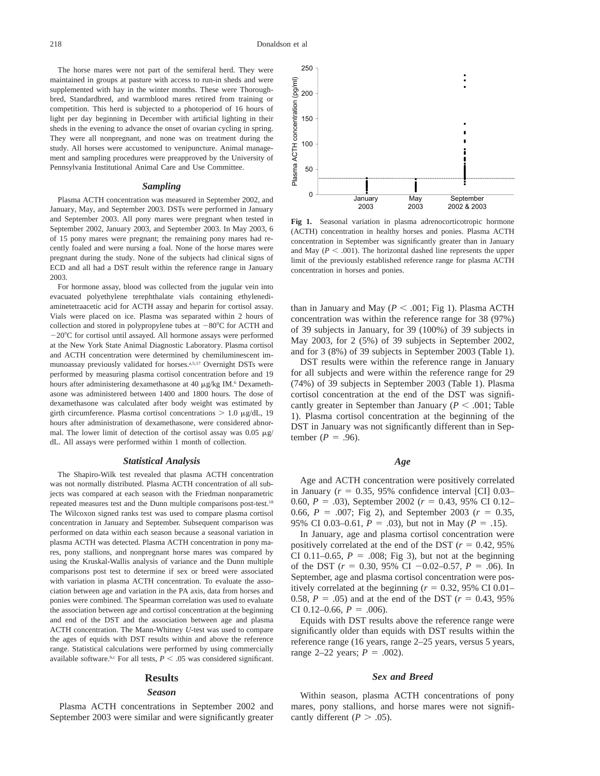The horse mares were not part of the semiferal herd. They were maintained in groups at pasture with access to run-in sheds and were supplemented with hay in the winter months. These were Thoroughbred, Standardbred, and warmblood mares retired from training or competition. This herd is subjected to a photoperiod of 16 hours of light per day beginning in December with artificial lighting in their sheds in the evening to advance the onset of ovarian cycling in spring. They were all nonpregnant, and none was on treatment during the study. All horses were accustomed to venipuncture. Animal management and sampling procedures were preapproved by the University of Pennsylvania Institutional Animal Care and Use Committee.

### *Sampling*

Plasma ACTH concentration was measured in September 2002, and January, May, and September 2003. DSTs were performed in January and September 2003. All pony mares were pregnant when tested in September 2002, January 2003, and September 2003. In May 2003, 6 of 15 pony mares were pregnant; the remaining pony mares had recently foaled and were nursing a foal. None of the horse mares were pregnant during the study. None of the subjects had clinical signs of ECD and all had a DST result within the reference range in January 2003.

For hormone assay, blood was collected from the jugular vein into evacuated polyethylene terephthalate vials containing ethylenediaminetetraacetic acid for ACTH assay and heparin for cortisol assay. Vials were placed on ice. Plasma was separated within 2 hours of collection and stored in polypropylene tubes at  $-80^{\circ}$ C for ACTH and  $-20^{\circ}$ C for cortisol until assayed. All hormone assays were performed at the New York State Animal Diagnostic Laboratory. Plasma cortisol and ACTH concentration were determined by chemiluminescent immunoassay previously validated for horses.<sup>a,5,17</sup> Overnight DSTs were performed by measuring plasma cortisol concentration before and 19 hours after administering dexamethasone at 40  $\mu$ g/kg IM.<sup>6</sup> Dexamethasone was administered between 1400 and 1800 hours. The dose of dexamethasone was calculated after body weight was estimated by girth circumference. Plasma cortisol concentrations  $> 1.0 \mu g/dL$ , 19 hours after administration of dexamethasone, were considered abnormal. The lower limit of detection of the cortisol assay was  $0.05 \mu g$ / dL. All assays were performed within 1 month of collection.

### *Statistical Analysis*

The Shapiro-Wilk test revealed that plasma ACTH concentration was not normally distributed. Plasma ACTH concentration of all subjects was compared at each season with the Friedman nonparametric repeated measures test and the Dunn multiple comparisons post-test.18 The Wilcoxon signed ranks test was used to compare plasma cortisol concentration in January and September. Subsequent comparison was performed on data within each season because a seasonal variation in plasma ACTH was detected. Plasma ACTH concentration in pony mares, pony stallions, and nonpregnant horse mares was compared by using the Kruskal-Wallis analysis of variance and the Dunn multiple comparisons post test to determine if sex or breed were associated with variation in plasma ACTH concentration. To evaluate the association between age and variation in the PA axis, data from horses and ponies were combined. The Spearman correlation was used to evaluate the association between age and cortisol concentration at the beginning and end of the DST and the association between age and plasma ACTH concentration. The Mann-Whitney *U*-test was used to compare the ages of equids with DST results within and above the reference range. Statistical calculations were performed by using commercially available software.<sup>b,c</sup> For all tests,  $P < .05$  was considered significant.

## **Results**

#### *Season*

Plasma ACTH concentrations in September 2002 and September 2003 were similar and were significantly greater



**Fig 1.** Seasonal variation in plasma adrenocorticotropic hormone (ACTH) concentration in healthy horses and ponies. Plasma ACTH concentration in September was significantly greater than in January and May  $(P < .001)$ . The horizontal dashed line represents the upper limit of the previously established reference range for plasma ACTH concentration in horses and ponies.

than in January and May  $(P < .001; Fig 1)$ . Plasma ACTH concentration was within the reference range for 38 (97%) of 39 subjects in January, for 39 (100%) of 39 subjects in May 2003, for 2 (5%) of 39 subjects in September 2002, and for 3 (8%) of 39 subjects in September 2003 (Table 1).

DST results were within the reference range in January for all subjects and were within the reference range for 29 (74%) of 39 subjects in September 2003 (Table 1). Plasma cortisol concentration at the end of the DST was significantly greater in September than January ( $P < .001$ ; Table 1). Plasma cortisol concentration at the beginning of the DST in January was not significantly different than in September  $(P = .96)$ .

### *Age*

Age and ACTH concentration were positively correlated in January ( $r = 0.35$ , 95% confidence interval [CI] 0.03– 0.60,  $P = .03$ ), September 2002 ( $r = 0.43, 95\%$  CI 0.12– 0.66,  $P = .007$ ; Fig 2), and September 2003 ( $r = 0.35$ , 95% CI 0.03–0.61,  $P = .03$ ), but not in May ( $P = .15$ ).

In January, age and plasma cortisol concentration were positively correlated at the end of the DST  $(r = 0.42, 95\%)$ CI 0.11–0.65,  $P = .008$ ; Fig 3), but not at the beginning of the DST ( $r = 0.30$ , 95% CI -0.02-0.57,  $P = .06$ ). In September, age and plasma cortisol concentration were positively correlated at the beginning  $(r = 0.32, 95\% \text{ CI } 0.01-$ 0.58,  $P = .05$ ) and at the end of the DST ( $r = 0.43, 95\%$ ) CI 0.12–0.66,  $P = .006$ ).

Equids with DST results above the reference range were significantly older than equids with DST results within the reference range (16 years, range 2–25 years, versus 5 years, range 2–22 years;  $P = .002$ ).

#### *Sex and Breed*

Within season, plasma ACTH concentrations of pony mares, pony stallions, and horse mares were not significantly different ( $P > .05$ ).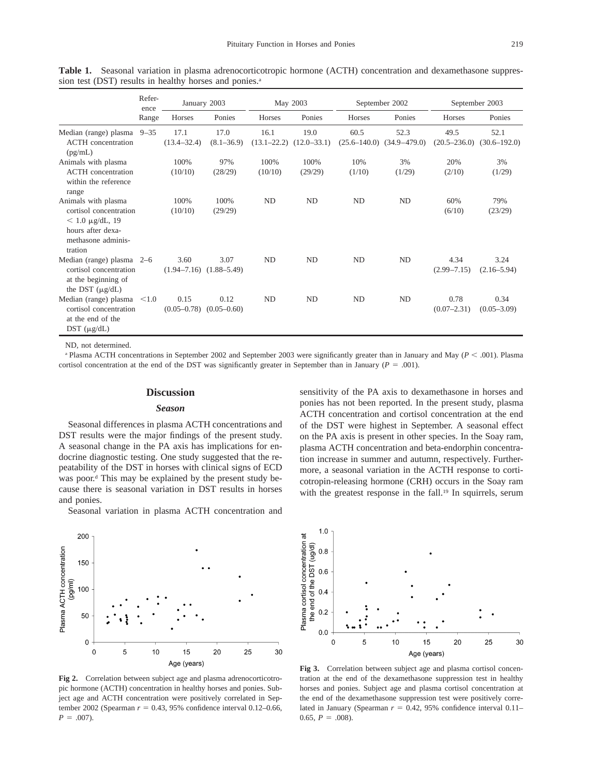|                                                                                                                              | Refer-<br>ence<br>Range | January 2003            |                                         | May 2003        |                                         | September 2002           |                          | September 2003           |                          |
|------------------------------------------------------------------------------------------------------------------------------|-------------------------|-------------------------|-----------------------------------------|-----------------|-----------------------------------------|--------------------------|--------------------------|--------------------------|--------------------------|
|                                                                                                                              |                         | Horses                  | Ponies                                  | <b>Horses</b>   | Ponies                                  | <b>Horses</b>            | Ponies                   | Horses                   | Ponies                   |
| Median (range) plasma<br><b>ACTH</b> concentration<br>(pg/mL)                                                                | $9 - 35$                | 17.1<br>$(13.4 - 32.4)$ | 17.0<br>$(8.1 - 36.9)$                  | 16.1            | 19.0<br>$(13.1 - 22.2)$ $(12.0 - 33.1)$ | 60.5<br>$(25.6 - 140.0)$ | 52.3<br>$(34.9 - 479.0)$ | 49.5<br>$(20.5 - 236.0)$ | 52.1<br>$(30.6 - 192.0)$ |
| Animals with plasma<br><b>ACTH</b> concentration<br>within the reference<br>range                                            |                         | 100%<br>(10/10)         | 97%<br>(28/29)                          | 100%<br>(10/10) | 100%<br>(29/29)                         | 10%<br>(1/10)            | 3%<br>(1/29)             | 20%<br>(2/10)            | 3%<br>(1/29)             |
| Animals with plasma<br>cortisol concentration<br>$< 1.0 \mu g/dL$ , 19<br>hours after dexa-<br>methasone adminis-<br>tration |                         | 100%<br>(10/10)         | 100%<br>(29/29)                         | ND              | ND                                      | ND                       | ND                       | 60%<br>(6/10)            | 79%<br>(23/29)           |
| Median (range) plasma $2-6$<br>cortisol concentration<br>at the beginning of<br>the DST $(\mu g/dL)$                         |                         | 3.60                    | 3.07<br>$(1.94 - 7.16)$ $(1.88 - 5.49)$ | ND              | <b>ND</b>                               | ND                       | ND                       | 4.34<br>$(2.99 - 7.15)$  | 3.24<br>$(2.16 - 5.94)$  |
| Median (range) plasma<br>cortisol concentration<br>at the end of the<br>$DST$ ( $\mu$ g/dL)                                  | < 1.0                   | 0.15<br>$(0.05 - 0.78)$ | 0.12<br>$(0.05 - 0.60)$                 | ND              | ND                                      | ND                       | ND                       | 0.78<br>$(0.07 - 2.31)$  | 0.34<br>$(0.05 - 3.09)$  |

**Table 1.** Seasonal variation in plasma adrenocorticotropic hormone (ACTH) concentration and dexamethasone suppression test (DST) results in healthy horses and ponies.<sup>a</sup>

ND, not determined.

<sup>a</sup> Plasma ACTH concentrations in September 2002 and September 2003 were significantly greater than in January and May ( $P < .001$ ). Plasma cortisol concentration at the end of the DST was significantly greater in September than in January ( $P = .001$ ).

# **Discussion**

### *Season*

Seasonal differences in plasma ACTH concentrations and DST results were the major findings of the present study. A seasonal change in the PA axis has implications for endocrine diagnostic testing. One study suggested that the repeatability of the DST in horses with clinical signs of ECD was poor.<sup>d</sup> This may be explained by the present study because there is seasonal variation in DST results in horses and ponies.

Seasonal variation in plasma ACTH concentration and



**Fig 2.** Correlation between subject age and plasma adrenocorticotropic hormone (ACTH) concentration in healthy horses and ponies. Subject age and ACTH concentration were positively correlated in September 2002 (Spearman  $r = 0.43$ , 95% confidence interval 0.12–0.66,  $P = .007$ ).

sensitivity of the PA axis to dexamethasone in horses and ponies has not been reported. In the present study, plasma ACTH concentration and cortisol concentration at the end of the DST were highest in September. A seasonal effect on the PA axis is present in other species. In the Soay ram, plasma ACTH concentration and beta-endorphin concentration increase in summer and autumn, respectively. Furthermore, a seasonal variation in the ACTH response to corticotropin-releasing hormone (CRH) occurs in the Soay ram with the greatest response in the fall.<sup>19</sup> In squirrels, serum

![](_page_2_Figure_12.jpeg)

**Fig 3.** Correlation between subject age and plasma cortisol concentration at the end of the dexamethasone suppression test in healthy horses and ponies. Subject age and plasma cortisol concentration at the end of the dexamethasone suppression test were positively correlated in January (Spearman  $r = 0.42$ , 95% confidence interval  $0.11-$ 0.65,  $P = .008$ ).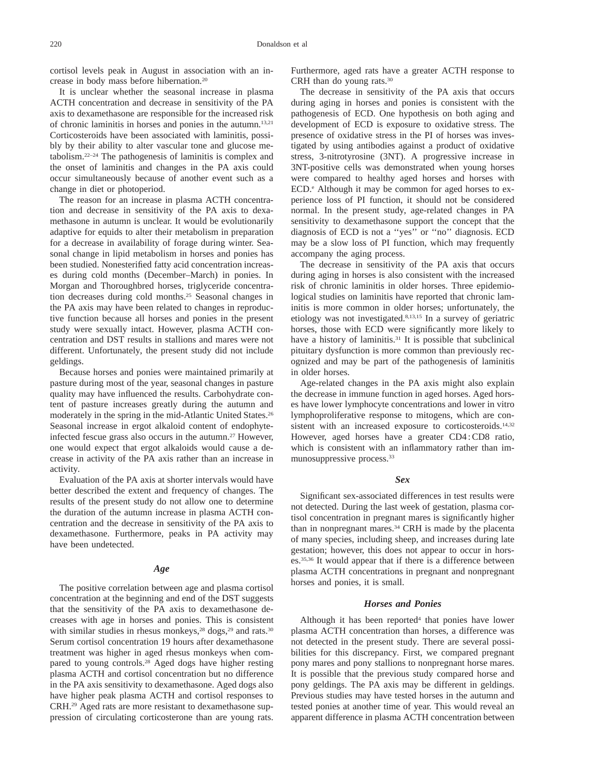cortisol levels peak in August in association with an increase in body mass before hibernation.20

It is unclear whether the seasonal increase in plasma ACTH concentration and decrease in sensitivity of the PA axis to dexamethasone are responsible for the increased risk of chronic laminitis in horses and ponies in the autumn.13,21 Corticosteroids have been associated with laminitis, possibly by their ability to alter vascular tone and glucose metabolism.22–24 The pathogenesis of laminitis is complex and the onset of laminitis and changes in the PA axis could occur simultaneously because of another event such as a change in diet or photoperiod.

The reason for an increase in plasma ACTH concentration and decrease in sensitivity of the PA axis to dexamethasone in autumn is unclear. It would be evolutionarily adaptive for equids to alter their metabolism in preparation for a decrease in availability of forage during winter. Seasonal change in lipid metabolism in horses and ponies has been studied. Nonesterified fatty acid concentration increases during cold months (December–March) in ponies. In Morgan and Thoroughbred horses, triglyceride concentration decreases during cold months.25 Seasonal changes in the PA axis may have been related to changes in reproductive function because all horses and ponies in the present study were sexually intact. However, plasma ACTH concentration and DST results in stallions and mares were not different. Unfortunately, the present study did not include geldings.

Because horses and ponies were maintained primarily at pasture during most of the year, seasonal changes in pasture quality may have influenced the results. Carbohydrate content of pasture increases greatly during the autumn and moderately in the spring in the mid-Atlantic United States.26 Seasonal increase in ergot alkaloid content of endophyteinfected fescue grass also occurs in the autumn.27 However, one would expect that ergot alkaloids would cause a decrease in activity of the PA axis rather than an increase in activity.

Evaluation of the PA axis at shorter intervals would have better described the extent and frequency of changes. The results of the present study do not allow one to determine the duration of the autumn increase in plasma ACTH concentration and the decrease in sensitivity of the PA axis to dexamethasone. Furthermore, peaks in PA activity may have been undetected.

### *Age*

The positive correlation between age and plasma cortisol concentration at the beginning and end of the DST suggests that the sensitivity of the PA axis to dexamethasone decreases with age in horses and ponies. This is consistent with similar studies in rhesus monkeys,<sup>28</sup> dogs,<sup>29</sup> and rats.<sup>30</sup> Serum cortisol concentration 19 hours after dexamethasone treatment was higher in aged rhesus monkeys when compared to young controls.28 Aged dogs have higher resting plasma ACTH and cortisol concentration but no difference in the PA axis sensitivity to dexamethasone. Aged dogs also have higher peak plasma ACTH and cortisol responses to CRH.29 Aged rats are more resistant to dexamethasone suppression of circulating corticosterone than are young rats.

Furthermore, aged rats have a greater ACTH response to CRH than do young rats.30

The decrease in sensitivity of the PA axis that occurs during aging in horses and ponies is consistent with the pathogenesis of ECD. One hypothesis on both aging and development of ECD is exposure to oxidative stress. The presence of oxidative stress in the PI of horses was investigated by using antibodies against a product of oxidative stress, 3-nitrotyrosine (3NT). A progressive increase in 3NT-positive cells was demonstrated when young horses were compared to healthy aged horses and horses with  $ECD$ .<sup>e</sup> Although it may be common for aged horses to experience loss of PI function, it should not be considered normal. In the present study, age-related changes in PA sensitivity to dexamethasone support the concept that the diagnosis of ECD is not a ''yes'' or ''no'' diagnosis. ECD may be a slow loss of PI function, which may frequently accompany the aging process.

The decrease in sensitivity of the PA axis that occurs during aging in horses is also consistent with the increased risk of chronic laminitis in older horses. Three epidemiological studies on laminitis have reported that chronic laminitis is more common in older horses; unfortunately, the etiology was not investigated.8,13,15 In a survey of geriatric horses, those with ECD were significantly more likely to have a history of laminitis.<sup>31</sup> It is possible that subclinical pituitary dysfunction is more common than previously recognized and may be part of the pathogenesis of laminitis in older horses.

Age-related changes in the PA axis might also explain the decrease in immune function in aged horses. Aged horses have lower lymphocyte concentrations and lower in vitro lymphoproliferative response to mitogens, which are consistent with an increased exposure to corticosteroids.14,32 However, aged horses have a greater CD4: CD8 ratio, which is consistent with an inflammatory rather than immunosuppressive process.33

# *Sex*

Significant sex-associated differences in test results were not detected. During the last week of gestation, plasma cortisol concentration in pregnant mares is significantly higher than in nonpregnant mares.<sup>34</sup> CRH is made by the placenta of many species, including sheep, and increases during late gestation; however, this does not appear to occur in horses.35,36 It would appear that if there is a difference between plasma ACTH concentrations in pregnant and nonpregnant horses and ponies, it is small.

# *Horses and Ponies*

Although it has been reported<sup>4</sup> that ponies have lower plasma ACTH concentration than horses, a difference was not detected in the present study. There are several possibilities for this discrepancy. First, we compared pregnant pony mares and pony stallions to nonpregnant horse mares. It is possible that the previous study compared horse and pony geldings. The PA axis may be different in geldings. Previous studies may have tested horses in the autumn and tested ponies at another time of year. This would reveal an apparent difference in plasma ACTH concentration between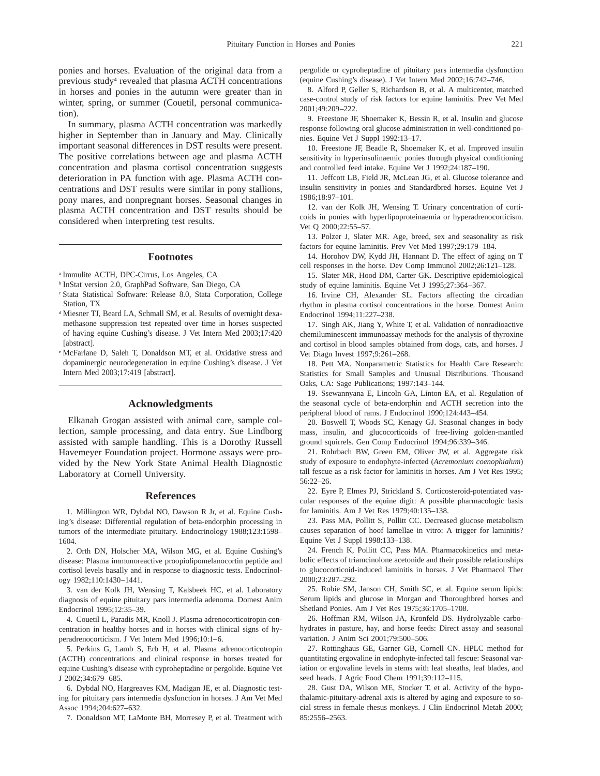ponies and horses. Evaluation of the original data from a previous study4 revealed that plasma ACTH concentrations in horses and ponies in the autumn were greater than in winter, spring, or summer (Couetil, personal communication).

In summary, plasma ACTH concentration was markedly higher in September than in January and May. Clinically important seasonal differences in DST results were present. The positive correlations between age and plasma ACTH concentration and plasma cortisol concentration suggests deterioration in PA function with age. Plasma ACTH concentrations and DST results were similar in pony stallions, pony mares, and nonpregnant horses. Seasonal changes in plasma ACTH concentration and DST results should be considered when interpreting test results.

### **Footnotes**

- <sup>a</sup> Immulite ACTH, DPC-Cirrus, Los Angeles, CA
- <sup>b</sup> InStat version 2.0, GraphPad Software, San Diego, CA
- <sup>c</sup> Stata Statistical Software: Release 8.0, Stata Corporation, College Station, TX
- <sup>d</sup> Miesner TJ, Beard LA, Schmall SM, et al. Results of overnight dexamethasone suppression test repeated over time in horses suspected of having equine Cushing's disease. J Vet Intern Med 2003;17:420 [abstract].
- <sup>e</sup> McFarlane D, Saleh T, Donaldson MT, et al. Oxidative stress and dopaminergic neurodegeneration in equine Cushing's disease. J Vet Intern Med 2003;17:419 [abstract].

# **Acknowledgments**

Elkanah Grogan assisted with animal care, sample collection, sample processing, and data entry. Sue Lindborg assisted with sample handling. This is a Dorothy Russell Havemeyer Foundation project. Hormone assays were provided by the New York State Animal Health Diagnostic Laboratory at Cornell University.

### **References**

1. Millington WR, Dybdal NO, Dawson R Jr, et al. Equine Cushing's disease: Differential regulation of beta-endorphin processing in tumors of the intermediate pituitary. Endocrinology 1988;123:1598– 1604.

2. Orth DN, Holscher MA, Wilson MG, et al. Equine Cushing's disease: Plasma immunoreactive proopiolipomelanocortin peptide and cortisol levels basally and in response to diagnostic tests. Endocrinology 1982;110:1430–1441.

3. van der Kolk JH, Wensing T, Kalsbeek HC, et al. Laboratory diagnosis of equine pituitary pars intermedia adenoma. Domest Anim Endocrinol 1995;12:35–39.

4. Couetil L, Paradis MR, Knoll J. Plasma adrenocorticotropin concentration in healthy horses and in horses with clinical signs of hyperadrenocorticism. J Vet Intern Med 1996;10:1–6.

5. Perkins G, Lamb S, Erb H, et al. Plasma adrenocorticotropin (ACTH) concentrations and clinical response in horses treated for equine Cushing's disease with cyproheptadine or pergolide. Equine Vet J 2002;34:679–685.

6. Dybdal NO, Hargreaves KM, Madigan JE, et al. Diagnostic testing for pituitary pars intermedia dysfunction in horses. J Am Vet Med Assoc 1994;204:627–632.

7. Donaldson MT, LaMonte BH, Morresey P, et al. Treatment with

pergolide or cyproheptadine of pituitary pars intermedia dysfunction (equine Cushing's disease). J Vet Intern Med 2002;16:742–746.

8. Alford P, Geller S, Richardson B, et al. A multicenter, matched case-control study of risk factors for equine laminitis. Prev Vet Med 2001;49:209–222.

9. Freestone JF, Shoemaker K, Bessin R, et al. Insulin and glucose response following oral glucose administration in well-conditioned ponies. Equine Vet J Suppl 1992:13–17.

10. Freestone JF, Beadle R, Shoemaker K, et al. Improved insulin sensitivity in hyperinsulinaemic ponies through physical conditioning and controlled feed intake. Equine Vet J 1992;24:187–190.

11. Jeffcott LB, Field JR, McLean JG, et al. Glucose tolerance and insulin sensitivity in ponies and Standardbred horses. Equine Vet J 1986;18:97–101.

12. van der Kolk JH, Wensing T. Urinary concentration of corticoids in ponies with hyperlipoproteinaemia or hyperadrenocorticism. Vet Q 2000;22:55–57.

13. Polzer J, Slater MR. Age, breed, sex and seasonality as risk factors for equine laminitis. Prev Vet Med 1997;29:179–184.

14. Horohov DW, Kydd JH, Hannant D. The effect of aging on T cell responses in the horse. Dev Comp Immunol 2002;26:121–128.

15. Slater MR, Hood DM, Carter GK. Descriptive epidemiological study of equine laminitis. Equine Vet J 1995;27:364–367.

16. Irvine CH, Alexander SL. Factors affecting the circadian rhythm in plasma cortisol concentrations in the horse. Domest Anim Endocrinol 1994;11:227–238.

17. Singh AK, Jiang Y, White T, et al. Validation of nonradioactive chemiluminescent immunoassay methods for the analysis of thyroxine and cortisol in blood samples obtained from dogs, cats, and horses. J Vet Diagn Invest 1997;9:261–268.

18. Pett MA. Nonparametric Statistics for Health Care Research: Statistics for Small Samples and Unusual Distributions. Thousand Oaks, CA: Sage Publications; 1997:143–144.

19. Ssewannyana E, Lincoln GA, Linton EA, et al. Regulation of the seasonal cycle of beta-endorphin and ACTH secretion into the peripheral blood of rams. J Endocrinol 1990;124:443–454.

20. Boswell T, Woods SC, Kenagy GJ. Seasonal changes in body mass, insulin, and glucocorticoids of free-living golden-mantled ground squirrels. Gen Comp Endocrinol 1994;96:339–346.

21. Rohrbach BW, Green EM, Oliver JW, et al. Aggregate risk study of exposure to endophyte-infected (*Acremonium coenophialum*) tall fescue as a risk factor for laminitis in horses. Am J Vet Res 1995; 56:22–26.

22. Eyre P, Elmes PJ, Strickland S. Corticosteroid-potentiated vascular responses of the equine digit: A possible pharmacologic basis for laminitis. Am J Vet Res 1979;40:135–138.

23. Pass MA, Pollitt S, Pollitt CC. Decreased glucose metabolism causes separation of hoof lamellae in vitro: A trigger for laminitis? Equine Vet J Suppl 1998:133–138.

24. French K, Pollitt CC, Pass MA. Pharmacokinetics and metabolic effects of triamcinolone acetonide and their possible relationships to glucocorticoid-induced laminitis in horses. J Vet Pharmacol Ther 2000;23:287–292.

25. Robie SM, Janson CH, Smith SC, et al. Equine serum lipids: Serum lipids and glucose in Morgan and Thoroughbred horses and Shetland Ponies. Am J Vet Res 1975;36:1705–1708.

26. Hoffman RM, Wilson JA, Kronfeld DS. Hydrolyzable carbohydrates in pasture, hay, and horse feeds: Direct assay and seasonal variation. J Anim Sci 2001;79:500–506.

27. Rottinghaus GE, Garner GB, Cornell CN. HPLC method for quantitating ergovaline in endophyte-infected tall fescue: Seasonal variation or ergovaline levels in stems with leaf sheaths, leaf blades, and seed heads. J Agric Food Chem 1991;39:112–115.

28. Gust DA, Wilson ME, Stocker T, et al. Activity of the hypothalamic-pituitary-adrenal axis is altered by aging and exposure to social stress in female rhesus monkeys. J Clin Endocrinol Metab 2000; 85:2556–2563.